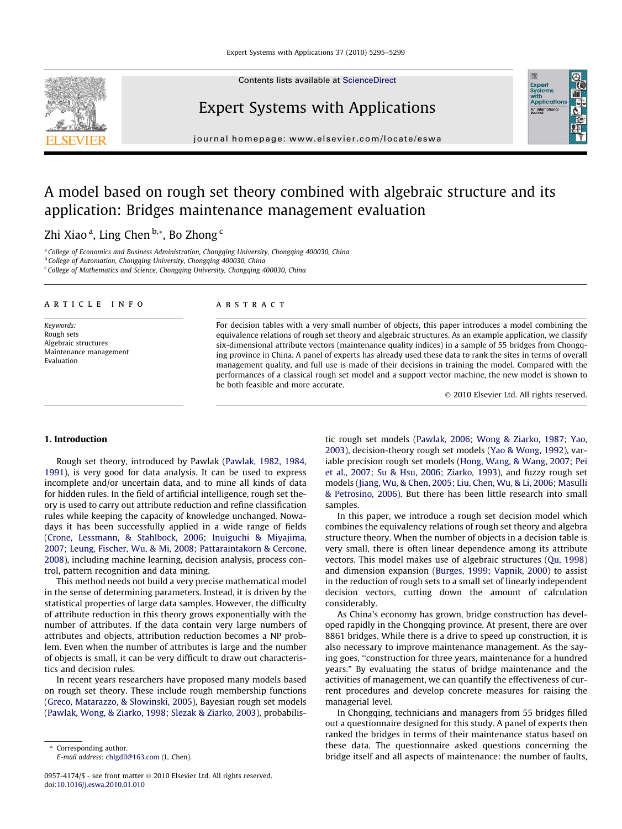

## Expert Systems with Applications



journal homepage: [www.elsevier.com/locate/eswa](http://www.elsevier.com/locate/eswa)

# A model based on rough set theory combined with algebraic structure and its application: Bridges maintenance management evaluation

### Zhi Xiao <sup>a</sup>, Ling Chen <sup>b,</sup>\*, Bo Zhong <sup>c</sup>

<sup>a</sup> College of Economics and Business Administration, Chongqing University, Chongqing 400030, China <sup>b</sup> College of Automation, Chongqing University, Chongqing 400030, China  $c$  College of Mathematics and Science, Chongqing University, Chongqing 400030, China

#### article info

Keywords: Rough sets Algebraic structures Maintenance management Evaluation

#### **ABSTRACT**

For decision tables with a very small number of objects, this paper introduces a model combining the equivalence relations of rough set theory and algebraic structures. As an example application, we classify six-dimensional attribute vectors (maintenance quality indices) in a sample of 55 bridges from Chongqing province in China. A panel of experts has already used these data to rank the sites in terms of overall management quality, and full use is made of their decisions in training the model. Compared with the performances of a classical rough set model and a support vector machine, the new model is shown to be both feasible and more accurate.

- 2010 Elsevier Ltd. All rights reserved.

#### 1. Introduction

Rough set theory, introduced by Pawlak [\(Pawlak, 1982, 1984,](#page--1-0) [1991\)](#page--1-0), is very good for data analysis. It can be used to express incomplete and/or uncertain data, and to mine all kinds of data for hidden rules. In the field of artificial intelligence, rough set theory is used to carry out attribute reduction and refine classification rules while keeping the capacity of knowledge unchanged. Nowadays it has been successfully applied in a wide range of fields ([Crone, Lessmann, & Stahlbock, 2006; Inuiguchi & Miyajima,](#page--1-0) [2007; Leung, Fischer, Wu, & Mi, 2008; Pattaraintakorn & Cercone,](#page--1-0) [2008](#page--1-0)), including machine learning, decision analysis, process control, pattern recognition and data mining.

This method needs not build a very precise mathematical model in the sense of determining parameters. Instead, it is driven by the statistical properties of large data samples. However, the difficulty of attribute reduction in this theory grows exponentially with the number of attributes. If the data contain very large numbers of attributes and objects, attribution reduction becomes a NP problem. Even when the number of attributes is large and the number of objects is small, it can be very difficult to draw out characteristics and decision rules.

In recent years researchers have proposed many models based on rough set theory. These include rough membership functions ([Greco, Matarazzo, & Slowinski, 2005](#page--1-0)), Bayesian rough set models ([Pawlak, Wong, & Ziarko, 1998; Slezak & Ziarko, 2003](#page--1-0)), probabilis-

\* Corresponding author. E-mail address: [chlgdll@163.com](mailto:chlgdll@163.com) (L. Chen). tic rough set models ([Pawlak, 2006; Wong & Ziarko, 1987; Yao,](#page--1-0) [2003](#page--1-0)), decision-theory rough set models ([Yao & Wong, 1992\)](#page--1-0), variable precision rough set models ([Hong, Wang, & Wang, 2007; Pei](#page--1-0) [et al., 2007; Su & Hsu, 2006; Ziarko, 1993](#page--1-0)), and fuzzy rough set models ([Jiang, Wu, & Chen, 2005; Liu, Chen, Wu, & Li, 2006; Masulli](#page--1-0) [& Petrosino, 2006](#page--1-0)). But there has been little research into small samples.

In this paper, we introduce a rough set decision model which combines the equivalency relations of rough set theory and algebra structure theory. When the number of objects in a decision table is very small, there is often linear dependence among its attribute vectors. This model makes use of algebraic structures ([Qu, 1998\)](#page--1-0) and dimension expansion [\(Burges, 1999; Vapnik, 2000](#page--1-0)) to assist in the reduction of rough sets to a small set of linearly independent decision vectors, cutting down the amount of calculation considerably.

As China's economy has grown, bridge construction has developed rapidly in the Chongqing province. At present, there are over 8861 bridges. While there is a drive to speed up construction, it is also necessary to improve maintenance management. As the saying goes, ''construction for three years, maintenance for a hundred years." By evaluating the status of bridge maintenance and the activities of management, we can quantify the effectiveness of current procedures and develop concrete measures for raising the managerial level.

In Chongqing, technicians and managers from 55 bridges filled out a questionnaire designed for this study. A panel of experts then ranked the bridges in terms of their maintenance status based on these data. The questionnaire asked questions concerning the bridge itself and all aspects of maintenance: the number of faults,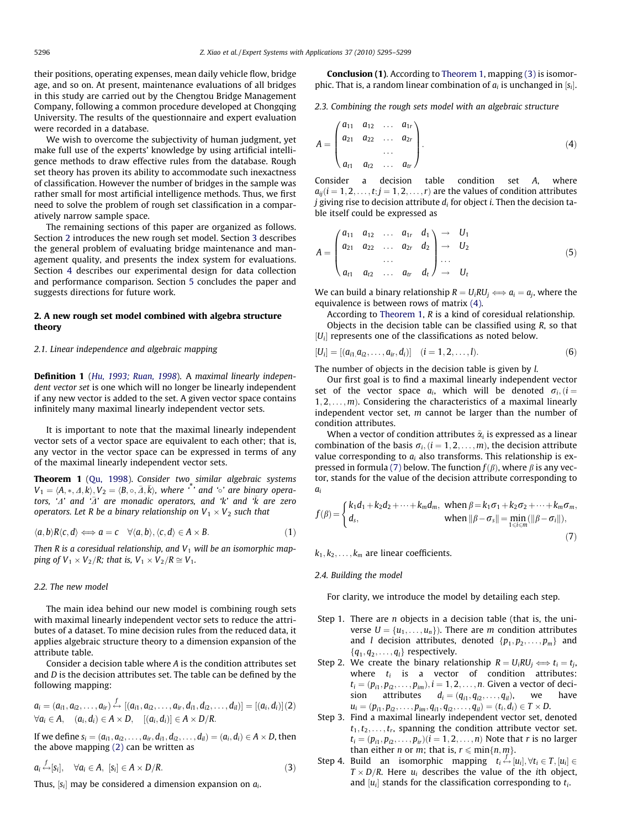their positions, operating expenses, mean daily vehicle flow, bridge age, and so on. At present, maintenance evaluations of all bridges in this study are carried out by the Chengtou Bridge Management Company, following a common procedure developed at Chongqing University. The results of the questionnaire and expert evaluation were recorded in a database.

We wish to overcome the subjectivity of human judgment, yet make full use of the experts' knowledge by using artificial intelligence methods to draw effective rules from the database. Rough set theory has proven its ability to accommodate such inexactness of classification. However the number of bridges in the sample was rather small for most artificial intelligence methods. Thus, we first need to solve the problem of rough set classification in a comparatively narrow sample space.

The remaining sections of this paper are organized as follows. Section 2 introduces the new rough set model. Section [3](#page--1-0) describes the general problem of evaluating bridge maintenance and management quality, and presents the index system for evaluations. Section [4](#page--1-0) describes our experimental design for data collection and performance comparison. Section [5](#page--1-0) concludes the paper and suggests directions for future work.

#### 2. A new rough set model combined with algebra structure theory

#### 2.1. Linear independence and algebraic mapping

Definition 1 ([Hu, 1993; Ruan, 1998](#page--1-0)). A maximal linearly independent vector set is one which will no longer be linearly independent if any new vector is added to the set. A given vector space contains infinitely many maximal linearly independent vector sets.

It is important to note that the maximal linearly independent vector sets of a vector space are equivalent to each other; that is, any vector in the vector space can be expressed in terms of any of the maximal linearly independent vector sets.

Theorem 1 [\(Qu, 1998\)](#page--1-0). Consider two similar algebraic systems  $V_1 = \langle A, *, \Delta, k \rangle, V_2 = \langle B, \circ, \bar{\Delta}, \bar{k} \rangle$ , where  $\cdot^*$  and  $\cdot^*$  are binary operators, ' $\varDelta$ ' and ' $\bar{\varDelta}$ ' are monadic operators, and 'k' and 'k are zero operators. Let R be a binary relationship on  $V_1 \times V_2$  such that

$$
\langle a,b\rangle R\langle c,d\rangle \Longleftrightarrow a=c \quad \forall \langle a,b\rangle, \langle c,d\rangle \in A \times B. \tag{1}
$$

Then R is a coresidual relationship, and  $V_1$  will be an isomorphic mapping of  $V_1 \times V_2/R$ ; that is,  $V_1 \times V_2/R \cong V_1$ .

#### 2.2. The new model

The main idea behind our new model is combining rough sets with maximal linearly independent vector sets to reduce the attributes of a dataset. To mine decision rules from the reduced data, it applies algebraic structure theory to a dimension expansion of the attribute table.

Consider a decision table where A is the condition attributes set and D is the decision attributes set. The table can be defined by the following mapping:

$$
a_i = (a_{i1}, a_{i2}, \ldots, a_{ir}) \stackrel{f}{\leftrightarrow} [(a_{i1}, a_{i2}, \ldots, a_{ir}, d_{i1}, d_{i2}, \ldots, d_{il})] = [(a_i, d_i)](2)
$$
  

$$
\forall a_i \in A, \quad (a_i, d_i) \in A \times D, \quad [(a_i, d_i)] \in A \times D/R.
$$

If we define  $s_i = (a_{i1}, a_{i2}, \ldots, a_{ir}, d_{i1}, d_{i2}, \ldots, d_{il}) = (a_i, d_i) \in A \times D$ , then the above mapping (2) can be written as

$$
a_i \stackrel{f}{\leftrightarrow} [s_i], \quad \forall a_i \in A, \ [s_i] \in A \times D/R. \tag{3}
$$

Thus,  $[s_i]$  may be considered a dimension expansion on  $a_i$ .

Conclusion (1). According to Theorem 1, mapping (3) is isomorphic. That is, a random linear combination of  $a_i$  is unchanged in  $[s_i]$ .

2.3. Combining the rough sets model with an algebraic structure

$$
A = \begin{pmatrix} a_{11} & a_{12} & \dots & a_{1r} \\ a_{21} & a_{22} & \dots & a_{2r} \\ \dots & \dots & \dots & \dots \\ a_{t1} & a_{t2} & \dots & a_{tr} \end{pmatrix}.
$$
 (4)

Consider a decision table condition set A, where  $a_{ij}$ ( $i = 1, 2, \ldots, t; j = 1, 2, \ldots, r$ ) are the values of condition attributes *j* giving rise to decision attribute  $d_i$  for object *i*. Then the decision table itself could be expressed as

$$
A = \begin{pmatrix} a_{11} & a_{12} & \dots & a_{1r} & d_1 \\ a_{21} & a_{22} & \dots & a_{2r} & d_2 \\ \dots & \dots & \dots & \dots \\ a_{t1} & a_{t2} & \dots & a_{tr} & d_t \end{pmatrix} \rightarrow \begin{pmatrix} U_1 \\ U_2 \\ \dots \\ U_t \end{pmatrix}
$$
 (5)

We can build a binary relationship  $R = U_iRU_i \Longleftrightarrow a_i = a_i$ , where the equivalence is between rows of matrix (4).

According to Theorem 1, R is a kind of coresidual relationship. Objects in the decision table can be classified using *, so that*  $|U_i|$  represents one of the classifications as noted below.

$$
[U_i] = [(a_{i1}, a_{i2}, \dots, a_{ir}, d_i)] \quad (i = 1, 2, \dots, l). \tag{6}
$$

The number of objects in the decision table is given by l.

Our first goal is to find a maximal linearly independent vector set of the vector space  $a_i$ , which will be denoted  $\sigma_i$ ,  $(i =$  $1, 2, \ldots, m$ ). Considering the characteristics of a maximal linearly independent vector set,  $m$  cannot be larger than the number of condition attributes.

When a vector of condition attributes  $\tilde{\alpha}_i$  is expressed as a linear combination of the basis  $\sigma_i$ ,  $(i = 1, 2, \ldots, m)$ , the decision attribute value corresponding to  $a_i$  also transforms. This relationship is expressed in formula (7) below. The function  $f(\beta)$ , where  $\beta$  is any vector, stands for the value of the decision attribute corresponding to a<sub>i</sub>

$$
f(\beta) = \begin{cases} k_1 d_1 + k_2 d_2 + \dots + k_m d_m, & \text{when } \beta = k_1 \sigma_1 + k_2 \sigma_2 + \dots + k_m \sigma_m, \\ d_s, & \text{when } ||\beta - \sigma_s|| = \min_{1 \le i \le m} (||\beta - \sigma_i||), \end{cases}
$$
(7)

 $k_1, k_2, \ldots, k_m$  are linear coefficients.

#### 2.4. Building the model

For clarity, we introduce the model by detailing each step.

- Step 1. There are  $n$  objects in a decision table (that is, the universe  $U = \{u_1, \ldots, u_n\}$ . There are *m* condition attributes and *l* decision attributes, denoted  $\{p_1, p_2, \ldots, p_m\}$  and  ${q_1, q_2, \ldots, q_l}$  respectively.
- Step 2. We create the binary relationship  $R = U_i R U_i \Longleftrightarrow t_i = t_i$ , where  $t_i$  is a vector of condition attributes:  $t_i = (p_{i1}, p_{i2}, \dots, p_{im}), i = 1, 2, \dots, n$ . Given a vector of decision attributes  $d_i = (q_{i1}, q_{i2}, \dots, q_{i_l})$ , we have  $u_i = (p_{i1}, p_{i2}, \ldots, p_{im}, q_{i1}, q_{i2}, \ldots, q_{il}) = (t_i, d_i) \in T \times D.$
- Step 3. Find a maximal linearly independent vector set, denoted  $t_1, t_2, \ldots, t_r$ , spanning the condition attribute vector set.  $t_i = (p_{i1}, p_{i2}, \ldots, p_{ir})(i = 1, 2, \ldots, n)$  Note that r is no larger than either *n* or *m*; that is,  $r \leq \min\{n, m\}$ .
- Step 4. Build an isomorphic mapping  $t_i \leftrightarrow [u_i], \forall t_i \in T, [u_i] \in$  $T \times D/R$ . Here  $u_i$  describes the value of the ith object, and  $[u_i]$  stands for the classification corresponding to  $t_i$ .